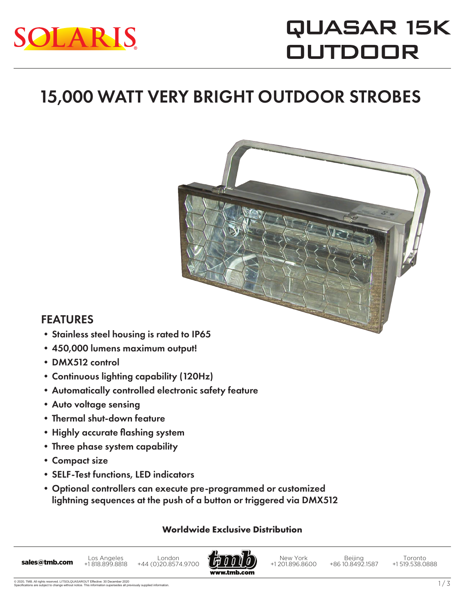

# QUASAR 15K **OUTDOOR**

### 15,000 WATT VERY BRIGHT OUTDOOR STROBES



- •450,000 lumens maximum output!
- •DMX512 control

FEATURES

- •Continuous lighting capability (120Hz)
- •Automatically controlled electronic safety feature
- •Auto voltage sensing
- •Thermal shut-down feature
- •Highly accurate flashing system
- •Three phase system capability
- •Compact size
- •SELF-Test functions, LED indicators
- •Optional controllers can execute pre-programmed or customized lightning sequences at the push of a button or triggered via DMX512

#### **Worldwide Exclusive Distribution**



New York +1 201.896.8600

Beijing +86 10.8492.1587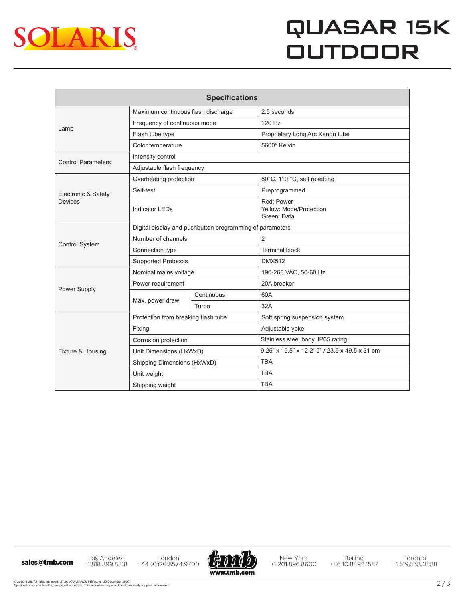

## QUASAR 15K **OUTDOOR**

| <b>Specifications</b>                 |                                                          |            |                                                      |
|---------------------------------------|----------------------------------------------------------|------------|------------------------------------------------------|
| Lamp                                  | Maximum continuous flash discharge                       |            | 2.5 seconds                                          |
|                                       | Frequency of continuous mode                             |            | 120 Hz                                               |
|                                       | Flash tube type                                          |            | Proprietary Long Arc Xenon tube                      |
|                                       | Color temperature                                        |            | 5600° Kelvin                                         |
| <b>Control Parameters</b>             | Intensity control                                        |            |                                                      |
|                                       | Adjustable flash frequency                               |            |                                                      |
| Electronic & Safety<br><b>Devices</b> | Overheating protection                                   |            | 80°C, 110 °C, self resetting                         |
|                                       | Self-test                                                |            | Preprogrammed                                        |
|                                       | <b>Indicator LEDs</b>                                    |            | Red: Power<br>Yellow: Mode/Protection<br>Green: Data |
| <b>Control System</b>                 | Digital display and pushbutton programming of parameters |            |                                                      |
|                                       | Number of channels                                       |            | $\overline{2}$                                       |
|                                       | Connection type                                          |            | <b>Terminal block</b>                                |
|                                       | <b>Supported Protocols</b>                               |            | <b>DMX512</b>                                        |
| Power Supply                          | Nominal mains voltage                                    |            | 190-260 VAC, 50-60 Hz                                |
|                                       | Power requirement                                        |            | 20A breaker                                          |
|                                       | Max. power draw                                          | Continuous | 60A                                                  |
|                                       |                                                          | Turbo      | 32A                                                  |
| Fixture & Housing                     | Protection from breaking flash tube                      |            | Soft spring suspension system                        |
|                                       | Fixing                                                   |            | Adjustable yoke                                      |
|                                       | Corrosion protection                                     |            | Stainless steel body, IP65 rating                    |
|                                       | Unit Dimensions (HxWxD)                                  |            | 9.25" x 19.5" x 12.215" / 23.5 x 49.5 x 31 cm        |
|                                       | Shipping Dimensions (HxWxD)                              |            | <b>TBA</b>                                           |
|                                       | Unit weight                                              |            | <b>TBA</b>                                           |
|                                       | Shipping weight                                          |            | <b>TBA</b>                                           |

Los Angeles +1 818.899.8818 Los Angeles London<br>
+44 (0)20.8574.9700 +44 (0)20.8574.9700



New York +1 201.896.8600

Beijing +86 10.8492.1587

Toronto +1 519.538.0888